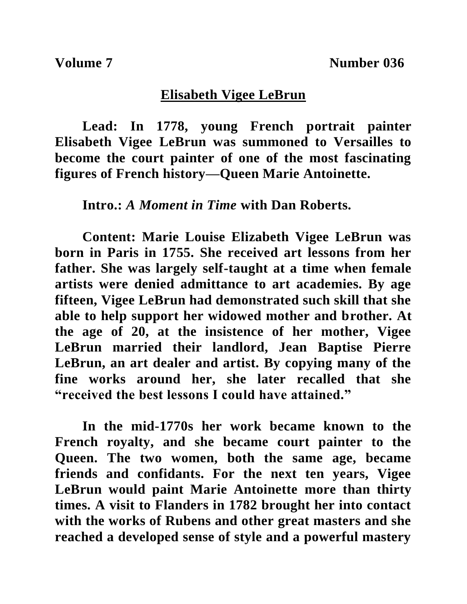## **Elisabeth Vigee LeBrun**

**Lead: In 1778, young French portrait painter Elisabeth Vigee LeBrun was summoned to Versailles to become the court painter of one of the most fascinating figures of French history—Queen Marie Antoinette.**

**Intro.:** *A Moment in Time* **with Dan Roberts.**

**Content: Marie Louise Elizabeth Vigee LeBrun was born in Paris in 1755. She received art lessons from her father. She was largely self-taught at a time when female artists were denied admittance to art academies. By age fifteen, Vigee LeBrun had demonstrated such skill that she able to help support her widowed mother and brother. At the age of 20, at the insistence of her mother, Vigee LeBrun married their landlord, Jean Baptise Pierre LeBrun, an art dealer and artist. By copying many of the fine works around her, she later recalled that she "received the best lessons I could have attained."** 

**In the mid-1770s her work became known to the French royalty, and she became court painter to the Queen. The two women, both the same age, became friends and confidants. For the next ten years, Vigee LeBrun would paint Marie Antoinette more than thirty times. A visit to Flanders in 1782 brought her into contact with the works of Rubens and other great masters and she reached a developed sense of style and a powerful mastery**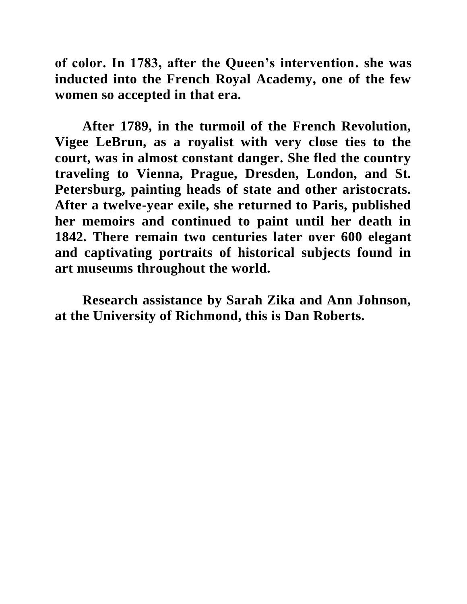**of color. In 1783, after the Queen's intervention. she was inducted into the French Royal Academy, one of the few women so accepted in that era.** 

**After 1789, in the turmoil of the French Revolution, Vigee LeBrun, as a royalist with very close ties to the court, was in almost constant danger. She fled the country traveling to Vienna, Prague, Dresden, London, and St. Petersburg, painting heads of state and other aristocrats. After a twelve-year exile, she returned to Paris, published her memoirs and continued to paint until her death in 1842. There remain two centuries later over 600 elegant and captivating portraits of historical subjects found in art museums throughout the world.**

**Research assistance by Sarah Zika and Ann Johnson, at the University of Richmond, this is Dan Roberts.**